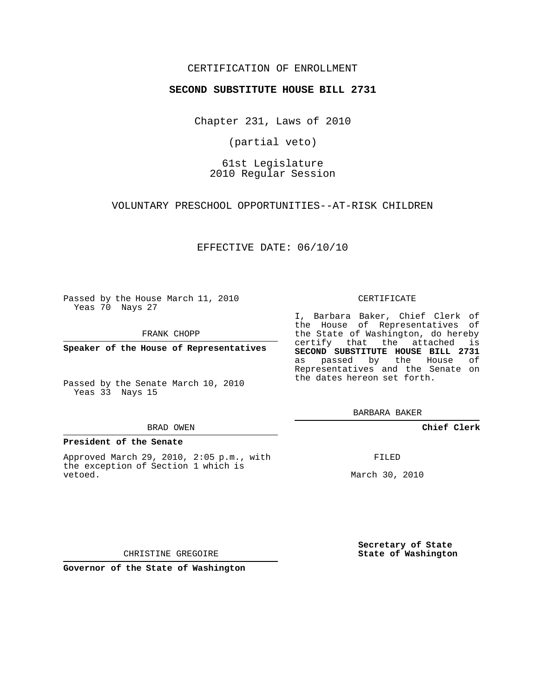## CERTIFICATION OF ENROLLMENT

### **SECOND SUBSTITUTE HOUSE BILL 2731**

Chapter 231, Laws of 2010

(partial veto)

# 61st Legislature 2010 Regular Session

VOLUNTARY PRESCHOOL OPPORTUNITIES--AT-RISK CHILDREN

## EFFECTIVE DATE: 06/10/10

Passed by the House March 11, 2010 Yeas 70 Nays 27

FRANK CHOPP

**Speaker of the House of Representatives**

Passed by the Senate March 10, 2010 Yeas 33 Nays 15

#### BRAD OWEN

#### **President of the Senate**

Approved March 29, 2010, 2:05 p.m., with the exception of Section 1 which is vetoed.

#### CERTIFICATE

I, Barbara Baker, Chief Clerk of the House of Representatives of the State of Washington, do hereby certify that the attached is **SECOND SUBSTITUTE HOUSE BILL 2731** as passed by the House of Representatives and the Senate on the dates hereon set forth.

BARBARA BAKER

**Chief Clerk**

FILED

March 30, 2010

**Secretary of State State of Washington**

CHRISTINE GREGOIRE

**Governor of the State of Washington**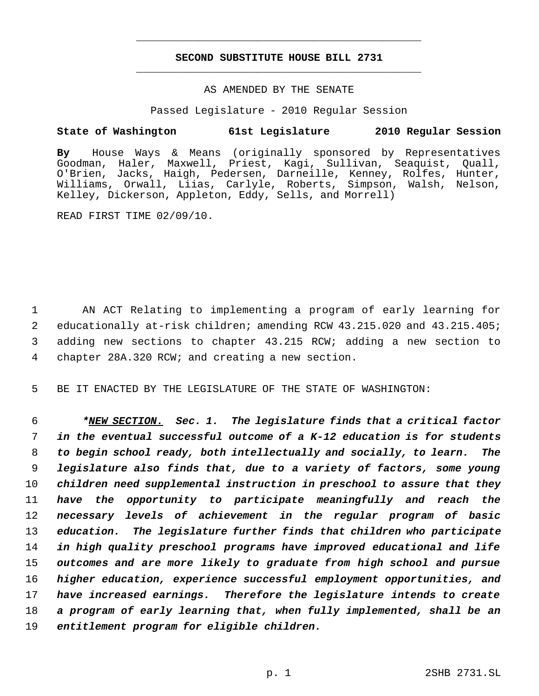# **SECOND SUBSTITUTE HOUSE BILL 2731** \_\_\_\_\_\_\_\_\_\_\_\_\_\_\_\_\_\_\_\_\_\_\_\_\_\_\_\_\_\_\_\_\_\_\_\_\_\_\_\_\_\_\_\_\_

\_\_\_\_\_\_\_\_\_\_\_\_\_\_\_\_\_\_\_\_\_\_\_\_\_\_\_\_\_\_\_\_\_\_\_\_\_\_\_\_\_\_\_\_\_

### AS AMENDED BY THE SENATE

Passed Legislature - 2010 Regular Session

## **State of Washington 61st Legislature 2010 Regular Session**

**By** House Ways & Means (originally sponsored by Representatives Goodman, Haler, Maxwell, Priest, Kagi, Sullivan, Seaquist, Quall, O'Brien, Jacks, Haigh, Pedersen, Darneille, Kenney, Rolfes, Hunter, Williams, Orwall, Liias, Carlyle, Roberts, Simpson, Walsh, Nelson, Kelley, Dickerson, Appleton, Eddy, Sells, and Morrell)

READ FIRST TIME 02/09/10.

 AN ACT Relating to implementing a program of early learning for educationally at-risk children; amending RCW 43.215.020 and 43.215.405; adding new sections to chapter 43.215 RCW; adding a new section to chapter 28A.320 RCW; and creating a new section.

5 BE IT ENACTED BY THE LEGISLATURE OF THE STATE OF WASHINGTON:

 *\*NEW SECTION. Sec. 1. The legislature finds that a critical factor in the eventual successful outcome of a K-12 education is for students to begin school ready, both intellectually and socially, to learn. The legislature also finds that, due to a variety of factors, some young children need supplemental instruction in preschool to assure that they have the opportunity to participate meaningfully and reach the necessary levels of achievement in the regular program of basic education. The legislature further finds that children who participate in high quality preschool programs have improved educational and life outcomes and are more likely to graduate from high school and pursue higher education, experience successful employment opportunities, and have increased earnings. Therefore the legislature intends to create a program of early learning that, when fully implemented, shall be an entitlement program for eligible children.*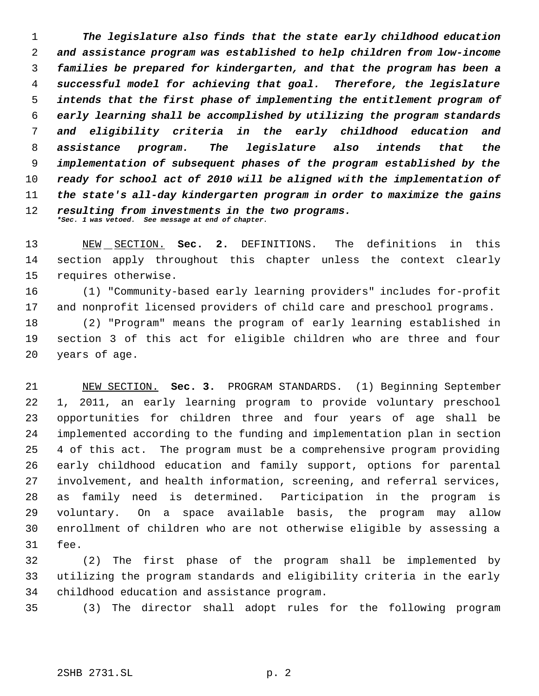*The legislature also finds that the state early childhood education and assistance program was established to help children from low-income families be prepared for kindergarten, and that the program has been a successful model for achieving that goal. Therefore, the legislature intends that the first phase of implementing the entitlement program of early learning shall be accomplished by utilizing the program standards and eligibility criteria in the early childhood education and assistance program. The legislature also intends that the implementation of subsequent phases of the program established by the ready for school act of 2010 will be aligned with the implementation of the state's all-day kindergarten program in order to maximize the gains resulting from investments in the two programs. \*Sec. 1 was vetoed. See message at end of chapter.*

 NEW SECTION. **Sec. 2.** DEFINITIONS. The definitions in this section apply throughout this chapter unless the context clearly requires otherwise.

 (1) "Community-based early learning providers" includes for-profit and nonprofit licensed providers of child care and preschool programs.

 (2) "Program" means the program of early learning established in section 3 of this act for eligible children who are three and four years of age.

 NEW SECTION. **Sec. 3.** PROGRAM STANDARDS. (1) Beginning September 1, 2011, an early learning program to provide voluntary preschool opportunities for children three and four years of age shall be implemented according to the funding and implementation plan in section 4 of this act. The program must be a comprehensive program providing early childhood education and family support, options for parental involvement, and health information, screening, and referral services, as family need is determined. Participation in the program is voluntary. On a space available basis, the program may allow enrollment of children who are not otherwise eligible by assessing a fee.

 (2) The first phase of the program shall be implemented by utilizing the program standards and eligibility criteria in the early childhood education and assistance program.

(3) The director shall adopt rules for the following program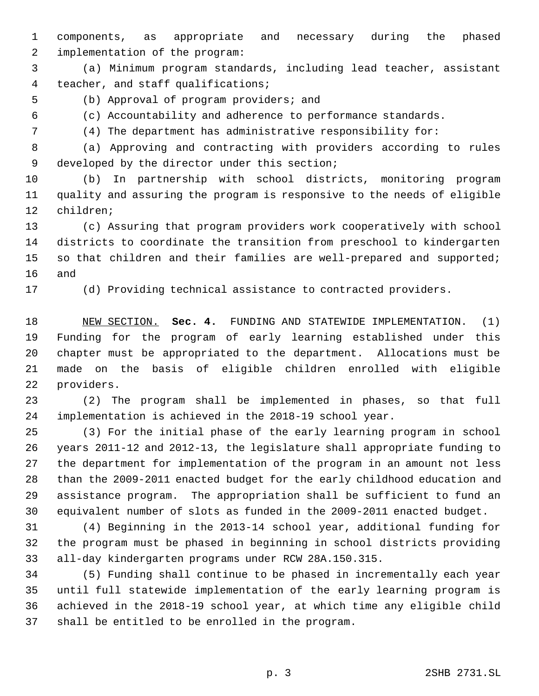components, as appropriate and necessary during the phased implementation of the program:

 (a) Minimum program standards, including lead teacher, assistant 4 teacher, and staff qualifications;

(b) Approval of program providers; and

(c) Accountability and adherence to performance standards.

(4) The department has administrative responsibility for:

 (a) Approving and contracting with providers according to rules developed by the director under this section;

 (b) In partnership with school districts, monitoring program quality and assuring the program is responsive to the needs of eligible children;

 (c) Assuring that program providers work cooperatively with school districts to coordinate the transition from preschool to kindergarten so that children and their families are well-prepared and supported; and

(d) Providing technical assistance to contracted providers.

 NEW SECTION. **Sec. 4.** FUNDING AND STATEWIDE IMPLEMENTATION. (1) Funding for the program of early learning established under this chapter must be appropriated to the department. Allocations must be made on the basis of eligible children enrolled with eligible providers.

 (2) The program shall be implemented in phases, so that full implementation is achieved in the 2018-19 school year.

 (3) For the initial phase of the early learning program in school years 2011-12 and 2012-13, the legislature shall appropriate funding to the department for implementation of the program in an amount not less than the 2009-2011 enacted budget for the early childhood education and assistance program. The appropriation shall be sufficient to fund an equivalent number of slots as funded in the 2009-2011 enacted budget.

 (4) Beginning in the 2013-14 school year, additional funding for the program must be phased in beginning in school districts providing all-day kindergarten programs under RCW 28A.150.315.

 (5) Funding shall continue to be phased in incrementally each year until full statewide implementation of the early learning program is achieved in the 2018-19 school year, at which time any eligible child shall be entitled to be enrolled in the program.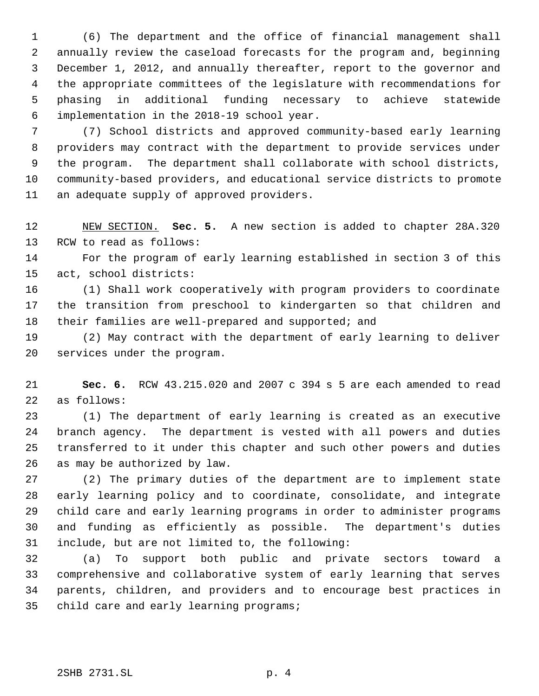(6) The department and the office of financial management shall annually review the caseload forecasts for the program and, beginning December 1, 2012, and annually thereafter, report to the governor and the appropriate committees of the legislature with recommendations for phasing in additional funding necessary to achieve statewide implementation in the 2018-19 school year.

 (7) School districts and approved community-based early learning providers may contract with the department to provide services under the program. The department shall collaborate with school districts, community-based providers, and educational service districts to promote an adequate supply of approved providers.

 NEW SECTION. **Sec. 5.** A new section is added to chapter 28A.320 RCW to read as follows:

 For the program of early learning established in section 3 of this act, school districts:

 (1) Shall work cooperatively with program providers to coordinate the transition from preschool to kindergarten so that children and 18 their families are well-prepared and supported; and

 (2) May contract with the department of early learning to deliver services under the program.

 **Sec. 6.** RCW 43.215.020 and 2007 c 394 s 5 are each amended to read as follows:

 (1) The department of early learning is created as an executive branch agency. The department is vested with all powers and duties transferred to it under this chapter and such other powers and duties as may be authorized by law.

 (2) The primary duties of the department are to implement state early learning policy and to coordinate, consolidate, and integrate child care and early learning programs in order to administer programs and funding as efficiently as possible. The department's duties include, but are not limited to, the following:

 (a) To support both public and private sectors toward a comprehensive and collaborative system of early learning that serves parents, children, and providers and to encourage best practices in 35 child care and early learning programs;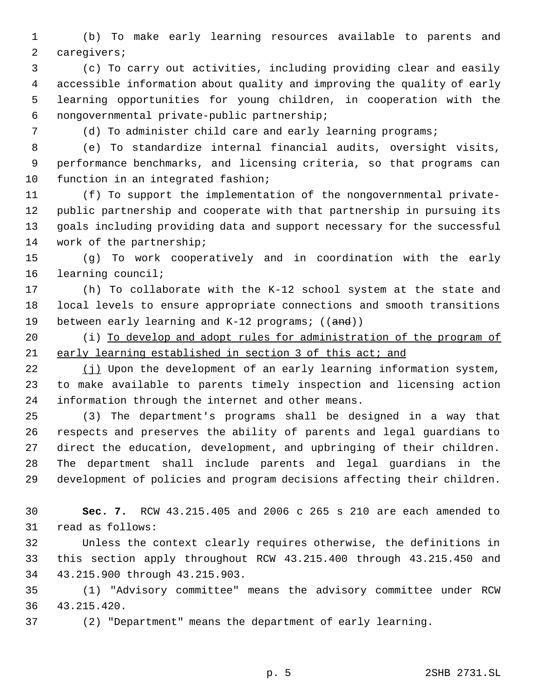(b) To make early learning resources available to parents and caregivers;

 (c) To carry out activities, including providing clear and easily accessible information about quality and improving the quality of early learning opportunities for young children, in cooperation with the nongovernmental private-public partnership;

(d) To administer child care and early learning programs;

 (e) To standardize internal financial audits, oversight visits, performance benchmarks, and licensing criteria, so that programs can function in an integrated fashion;

 (f) To support the implementation of the nongovernmental private- public partnership and cooperate with that partnership in pursuing its goals including providing data and support necessary for the successful work of the partnership;

 (g) To work cooperatively and in coordination with the early learning council;

 (h) To collaborate with the K-12 school system at the state and local levels to ensure appropriate connections and smooth transitions 19 between early learning and K-12 programs; ((and))

20 (i) To develop and adopt rules for administration of the program of early learning established in section 3 of this act; and

22 (j) Upon the development of an early learning information system, to make available to parents timely inspection and licensing action information through the internet and other means.

 (3) The department's programs shall be designed in a way that respects and preserves the ability of parents and legal guardians to direct the education, development, and upbringing of their children. The department shall include parents and legal guardians in the development of policies and program decisions affecting their children.

 **Sec. 7.** RCW 43.215.405 and 2006 c 265 s 210 are each amended to read as follows:

 Unless the context clearly requires otherwise, the definitions in this section apply throughout RCW 43.215.400 through 43.215.450 and 43.215.900 through 43.215.903.

 (1) "Advisory committee" means the advisory committee under RCW 43.215.420.

(2) "Department" means the department of early learning.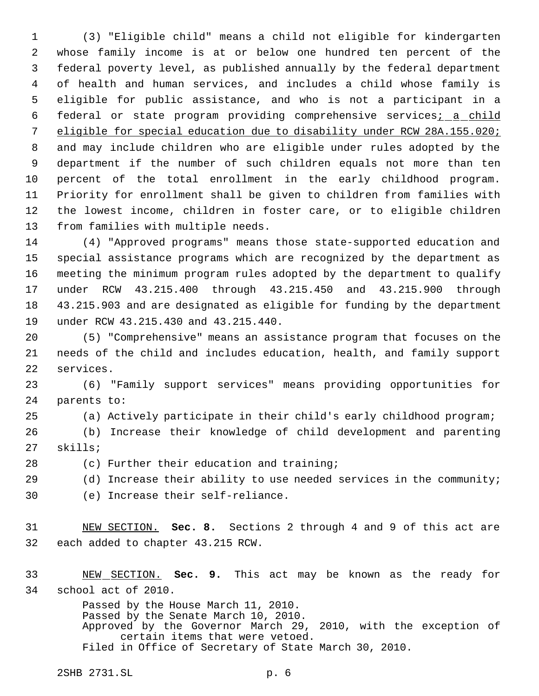(3) "Eligible child" means a child not eligible for kindergarten whose family income is at or below one hundred ten percent of the federal poverty level, as published annually by the federal department of health and human services, and includes a child whose family is eligible for public assistance, and who is not a participant in a 6 federal or state program providing comprehensive services<sub>i a</sub> child eligible for special education due to disability under RCW 28A.155.020; and may include children who are eligible under rules adopted by the department if the number of such children equals not more than ten percent of the total enrollment in the early childhood program. Priority for enrollment shall be given to children from families with the lowest income, children in foster care, or to eligible children from families with multiple needs.

 (4) "Approved programs" means those state-supported education and special assistance programs which are recognized by the department as meeting the minimum program rules adopted by the department to qualify under RCW 43.215.400 through 43.215.450 and 43.215.900 through 43.215.903 and are designated as eligible for funding by the department under RCW 43.215.430 and 43.215.440.

 (5) "Comprehensive" means an assistance program that focuses on the needs of the child and includes education, health, and family support services.

 (6) "Family support services" means providing opportunities for parents to:

(a) Actively participate in their child's early childhood program;

 (b) Increase their knowledge of child development and parenting skills;

(c) Further their education and training;

(d) Increase their ability to use needed services in the community;

(e) Increase their self-reliance.

 NEW SECTION. **Sec. 8.** Sections 2 through 4 and 9 of this act are each added to chapter 43.215 RCW.

 NEW SECTION. **Sec. 9.** This act may be known as the ready for school act of 2010.

> Passed by the House March 11, 2010. Passed by the Senate March 10, 2010. Approved by the Governor March 29, 2010, with the exception of certain items that were vetoed. Filed in Office of Secretary of State March 30, 2010.